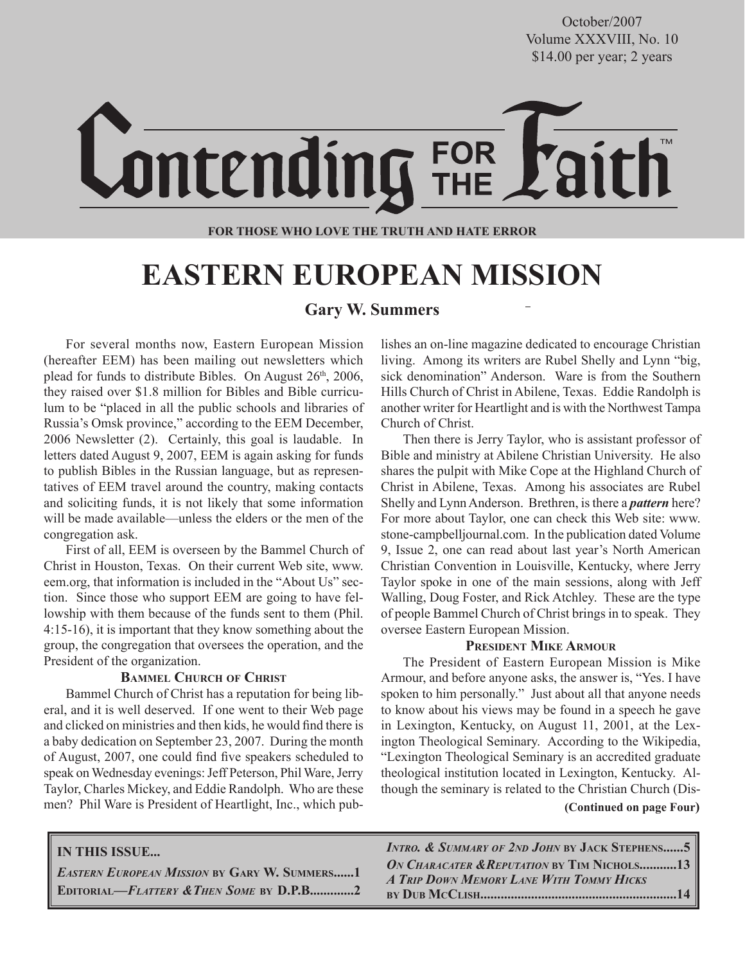**October/2007** \$14.00 per year; 2 years October/2007 Volume XXXVIII, No. 10

# **ontending FOR**

#### **FOR THOSE WHO LOVE THE TRUTH AND HATE ERROR**

### **EASTERN EUROPEAN MISSION**

### **Gary W. Summers**

For several months now, Eastern European Mission (hereafter EEM) has been mailing out newsletters which plead for funds to distribute Bibles. On August  $26<sup>th</sup>$ ,  $2006$ , they raised over \$1.8 million for Bibles and Bible curriculum to be "placed in all the public schools and libraries of Russia's Omsk province," according to the EEM December, 2006 Newsletter (2). Certainly, this goal is laudable. In letters dated August 9, 2007, EEM is again asking for funds to publish Bibles in the Russian language, but as representatives of EEM travel around the country, making contacts and soliciting funds, it is not likely that some information will be made available—unless the elders or the men of the congregation ask.

First of all, EEM is overseen by the Bammel Church of Christ in Houston, Texas. On their current Web site, www. eem.org, that information is included in the "About Us" section. Since those who support EEM are going to have fellowship with them because of the funds sent to them (Phil. 4:15-16), it is important that they know something about the group, the congregation that oversees the operation, and the President of the organization.

### **BAMMEL CHURCH OF CHRIST**

Bammel Church of Christ has a reputation for being liberal, and it is well deserved. If one went to their Web page and clicked on ministries and then kids, he would find there is a baby dedication on September 23, 2007. During the month of August, 2007, one could find five speakers scheduled to speak on Wednesday evenings: Jeff Peterson, Phil Ware, Jerry Taylor, Charles Mickey, and Eddie Randolph. Who are these men? Phil Ware is President of Heartlight, Inc., which publishes an on-line magazine dedicated to encourage Christian living. Among its writers are Rubel Shelly and Lynn "big, sick denomination" Anderson. Ware is from the Southern Hills Church of Christ in Abilene, Texas. Eddie Randolph is another writer for Heartlight and is with the Northwest Tampa Church of Christ.

Then there is Jerry Taylor, who is assistant professor of Bible and ministry at Abilene Christian University. He also shares the pulpit with Mike Cope at the Highland Church of Christ in Abilene, Texas. Among his associates are Rubel Shelly and Lynn Anderson. Brethren, is there a *pattern* here? For more about Taylor, one can check this Web site: www. stone-campbelljournal.com. In the publication dated Volume 9, Issue 2, one can read about last year's North American Christian Convention in Louisville, Kentucky, where Jerry Taylor spoke in one of the main sessions, along with Jeff Walling, Doug Foster, and Rick Atchley. These are the type of people Bammel Church of Christ brings in to speak. They oversee Eastern European Mission.

### **PRESIDENT MIKE ARMOUR**

The President of Eastern European Mission is Mike Armour, and before anyone asks, the answer is, "Yes. I have spoken to him personally." Just about all that anyone needs to know about his views may be found in a speech he gave in Lexington, Kentucky, on August 11, 2001, at the Lexington Theological Seminary. According to the Wikipedia, "Lexington Theological Seminary is an accredited graduate theological institution located in Lexington, Kentucky. Although the seminary is related to the Christian Church (Dis-

 **(Continued on page Four)**

### **IN THIS ISSUE...**

*EASTERN EUROPEAN MISSION* **BY GARY W. SUMMERS......1 EDITORIAL—***FLATTERY &THEN SOME* **BY D.P.B.............2** *INTRO. & SUMMARY OF 2ND JOHN* **BY JACK STEPHENS......5** *ON CHARACATER &REPUTATION* **BY TIM NICHOLS...........13** *A TRIP DOWN MEMORY LANE WITH TOMMY HICKS* **BY DUB MCCLISH..........................................................14**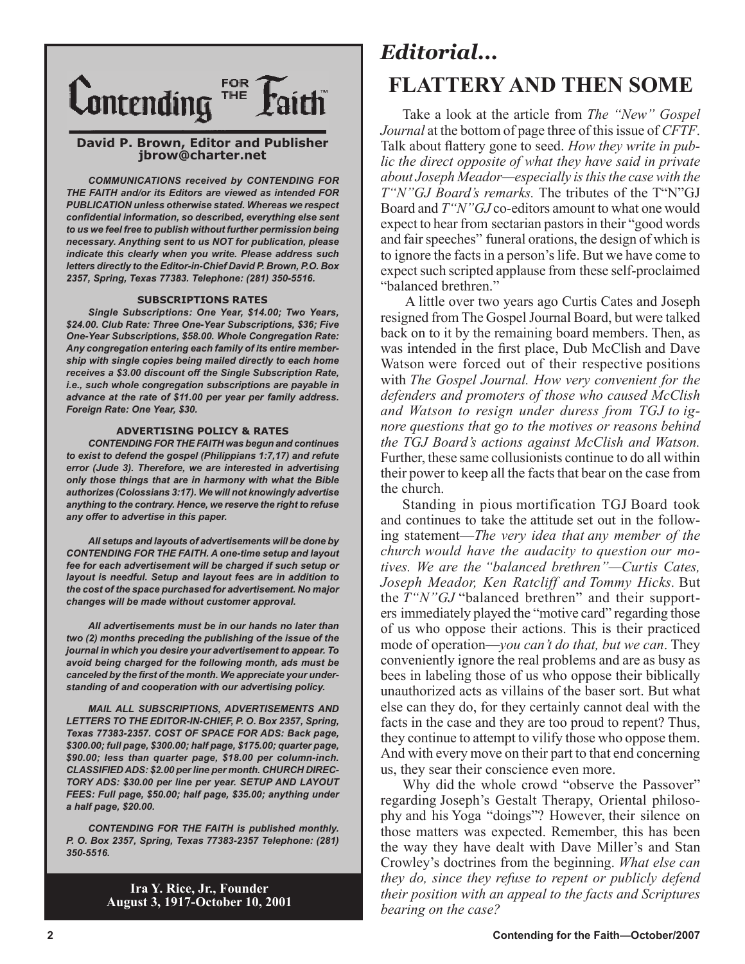

#### **David P. Brown, Editor and Publisher jbrow@charter.net**

*COMMUNICATIONS received by CONTENDING FOR THE FAITH and/or its Editors are viewed as intended FOR PUBLICATION unless otherwise stated. Whereas we respect confidential information, so described, everything else sent to us we feel free to publish without further permission being necessary. Anything sent to us NOT for publication, please indicate this clearly when you write. Please address such letters directly to the Editor-in-Chief David P. Brown, P.O. Box 2357, Spring, Texas 77383. Telephone: (281) 350-5516.*

#### **SUBSCRIPTIONS RATES**

*Single Subscriptions: One Year, \$14.00; Two Years, \$24.00. Club Rate: Three One-Year Subscriptions, \$36; Five One-Year Subscriptions, \$58.00. Whole Congregation Rate: Any congregation entering each family of its entire membership with single copies being mailed directly to each home receives a \$3.00 discount off the Single Subscription Rate, i.e., such whole congregation subscriptions are payable in advance at the rate of \$11.00 per year per family address. Foreign Rate: One Year, \$30.*

#### **ADVERTISING POLICY & RATES**

*CONTENDING FOR THE FAITH was begun and continues to exist to defend the gospel (Philippians 1:7,17) and refute error (Jude 3). Therefore, we are interested in advertising only those things that are in harmony with what the Bible authorizes (Colossians 3:17). We will not knowingly advertise anything to the contrary. Hence, we reserve the right to refuse any offer to advertise in this paper.*

*All setups and layouts of advertisements will be done by CONTENDING FOR THE FAITH. A one-time setup and layout fee for each advertisement will be charged if such setup or layout is needful. Setup and layout fees are in addition to the cost of the space purchased for advertisement. No major changes will be made without customer approval.*

*All advertisements must be in our hands no later than two (2) months preceding the publishing of the issue of the journal in which you desire your advertisement to appear. To avoid being charged for the following month, ads must be canceled by the first of the month. We appreciate your understanding of and cooperation with our advertising policy.*

*MAIL ALL SUBSCRIPTIONS, ADVERTISEMENTS AND LETTERS TO THE EDITOR-IN-CHIEF, P. O. Box 2357, Spring, Texas 77383-2357. COST OF SPACE FOR ADS: Back page, \$300.00; full page, \$300.00; half page, \$175.00; quarter page, \$90.00; less than quarter page, \$18.00 per column-inch. CLASSIFIED ADS: \$2.00 per line per month. CHURCH DIREC-TORY ADS: \$30.00 per line per year. SETUP AND LAYOUT FEES: Full page, \$50.00; half page, \$35.00; anything under a half page, \$20.00.*

*CONTENDING FOR THE FAITH is published monthly. P. O. Box 2357, Spring, Texas 77383-2357 Telephone: (281) 350-5516.*

> **Ira Y. Rice, Jr., Founder August 3, 1917-October 10, 2001**

### *Editorial...* **FLATTERY AND THEN SOME**

Take a look at the article from *The "New" Gospel Journal* at the bottom of page three of this issue of *CFTF*. Talk about flattery gone to seed. *How they write in public the direct opposite of what they have said in private about Joseph Meador—especially is this the case with the T"N"GJ Board's remarks.* The tributes of the T"N"GJ Board and *T"N"GJ* co-editors amount to what one would expect to hear from sectarian pastors in their "good words and fair speeches" funeral orations, the design of which is to ignore the facts in a person's life. But we have come to expect such scripted applause from these self-proclaimed "balanced brethren."

 A little over two years ago Curtis Cates and Joseph resigned from The Gospel Journal Board, but were talked back on to it by the remaining board members. Then, as was intended in the first place, Dub McClish and Dave Watson were forced out of their respective positions with *The Gospel Journal. How very convenient for the defenders and promoters of those who caused McClish and Watson to resign under duress from TGJ to ignore questions that go to the motives or reasons behind the TGJ Board's actions against McClish and Watson.*  Further, these same collusionists continue to do all within their power to keep all the facts that bear on the case from the church.

Standing in pious mortification TGJ Board took and continues to take the attitude set out in the following statement—*The very idea that any member of the church would have the audacity to question our motives. We are the "balanced brethren"—Curtis Cates, Joseph Meador, Ken Ratcliff and Tommy Hicks.* But the *T"N"GJ* "balanced brethren" and their supporters immediately played the "motive card" regarding those of us who oppose their actions. This is their practiced mode of operation—*you can't do that, but we can*. They conveniently ignore the real problems and are as busy as bees in labeling those of us who oppose their biblically unauthorized acts as villains of the baser sort. But what else can they do, for they certainly cannot deal with the facts in the case and they are too proud to repent? Thus, they continue to attempt to vilify those who oppose them. And with every move on their part to that end concerning us, they sear their conscience even more.

Why did the whole crowd "observe the Passover" regarding Joseph's Gestalt Therapy, Oriental philosophy and his Yoga "doings"? However, their silence on those matters was expected. Remember, this has been the way they have dealt with Dave Miller's and Stan Crowley's doctrines from the beginning. *What else can they do, since they refuse to repent or publicly defend their position with an appeal to the facts and Scriptures bearing on the case?*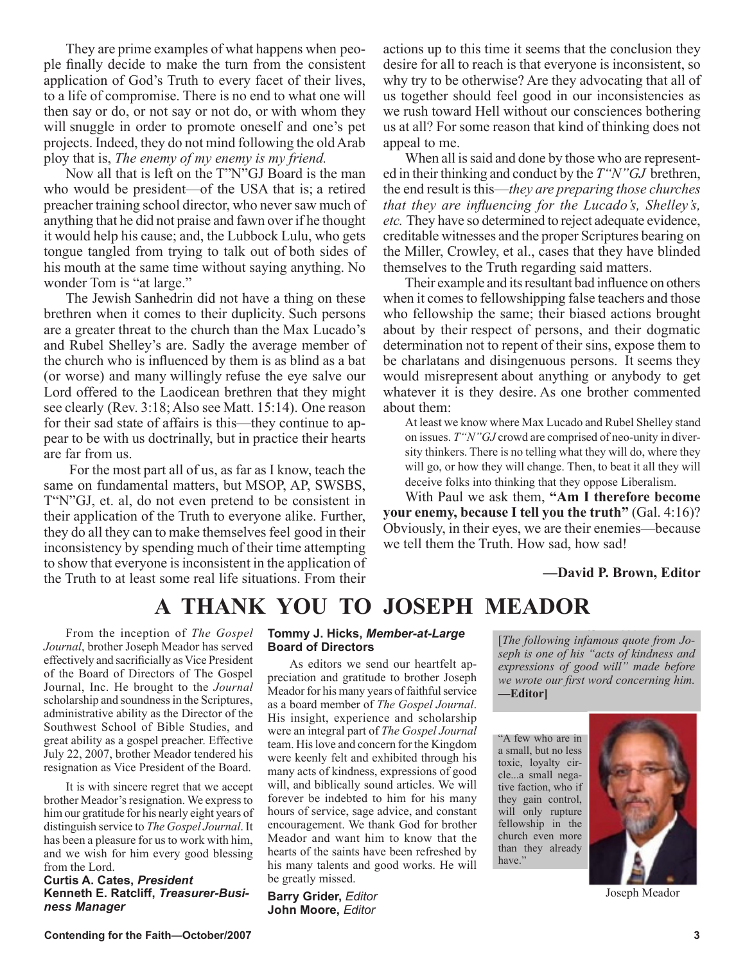They are prime examples of what happens when people finally decide to make the turn from the consistent application of God's Truth to every facet of their lives, to a life of compromise. There is no end to what one will then say or do, or not say or not do, or with whom they will snuggle in order to promote oneself and one's pet projects. Indeed, they do not mind following the old Arab ploy that is, *The enemy of my enemy is my friend.*

Now all that is left on the T"N"GJ Board is the man who would be president—of the USA that is; a retired preacher training school director, who never saw much of anything that he did not praise and fawn over if he thought it would help his cause; and, the Lubbock Lulu, who gets tongue tangled from trying to talk out of both sides of his mouth at the same time without saying anything. No wonder Tom is "at large."

The Jewish Sanhedrin did not have a thing on these brethren when it comes to their duplicity. Such persons are a greater threat to the church than the Max Lucado's and Rubel Shelley's are. Sadly the average member of the church who is influenced by them is as blind as a bat (or worse) and many willingly refuse the eye salve our Lord offered to the Laodicean brethren that they might see clearly (Rev. 3:18; Also see Matt. 15:14). One reason for their sad state of affairs is this—they continue to appear to be with us doctrinally, but in practice their hearts are far from us.

 For the most part all of us, as far as I know, teach the same on fundamental matters, but MSOP, AP, SWSBS, T"N"GJ, et. al, do not even pretend to be consistent in their application of the Truth to everyone alike. Further, they do all they can to make themselves feel good in their inconsistency by spending much of their time attempting to show that everyone is inconsistent in the application of the Truth to at least some real life situations. From their

actions up to this time it seems that the conclusion they desire for all to reach is that everyone is inconsistent, so why try to be otherwise? Are they advocating that all of us together should feel good in our inconsistencies as we rush toward Hell without our consciences bothering us at all? For some reason that kind of thinking does not appeal to me.

When all is said and done by those who are represented in their thinking and conduct by the *T"N"GJ* brethren, the end result is this—*they are preparing those churches that they are influencing for the Lucado's, Shelley's, etc.* They have so determined to reject adequate evidence, creditable witnesses and the proper Scriptures bearing on the Miller, Crowley, et al., cases that they have blinded themselves to the Truth regarding said matters.

Their example and its resultant bad influence on others when it comes to fellowshipping false teachers and those who fellowship the same; their biased actions brought about by their respect of persons, and their dogmatic determination not to repent of their sins, expose them to be charlatans and disingenuous persons. It seems they would misrepresent about anything or anybody to get whatever it is they desire. As one brother commented about them:

At least we know where Max Lucado and Rubel Shelley stand on issues. *T"N"GJ* crowd are comprised of neo-unity in diversity thinkers. There is no telling what they will do, where they will go, or how they will change. Then, to beat it all they will deceive folks into thinking that they oppose Liberalism.

With Paul we ask them, **"Am I therefore become your enemy, because I tell you the truth"** (Gal. 4:16)? Obviously, in their eyes, we are their enemies—because we tell them the Truth. How sad, how sad!

**—David P. Brown, Editor**

### **A THANK YOU TO JOSEPH MEADOR**

From the inception of *The Gospel Journal*, brother Joseph Meador has served effectively and sacrificially as Vice President of the Board of Directors of The Gospel Journal, Inc. He brought to the *Journal* scholarship and soundness in the Scriptures, administrative ability as the Director of the Southwest School of Bible Studies, and great ability as a gospel preacher. Effective July 22, 2007, brother Meador tendered his resignation as Vice President of the Board.

It is with sincere regret that we accept brother Meador's resignation. We express to him our gratitude for his nearly eight years of distinguish service to *The Gospel Journal*. It has been a pleasure for us to work with him, and we wish for him every good blessing from the Lord.

**Curtis A. Cates,** *President* **Kenneth E. Ratcliff,** *Treasurer-Business Manager*

### **Tommy J. Hicks,** *Member-at-Large* **Board of Directors**

As editors we send our heartfelt appreciation and gratitude to brother Joseph Meador for his many years of faithful service as a board member of *The Gospel Journal*. His insight, experience and scholarship were an integral part of *The Gospel Journal* team. His love and concern for the Kingdom were keenly felt and exhibited through his many acts of kindness, expressions of good will, and biblically sound articles. We will forever be indebted to him for his many hours of service, sage advice, and constant encouragement. We thank God for brother Meador and want him to know that the hearts of the saints have been refreshed by his many talents and good works. He will be greatly missed.

**Barry Grider,** *Editor*  **John Moore,** *Editor*

 **(Sept, 2007,** *TGJ***. p. 3)** [*The following infamous quote from Joseph is one of his "acts of kindness and expressions of good will" made before we wrote our first word concerning him.*  **—Editor]** 

"A few who are in a small, but no less toxic, loyalty circle...a small negative faction, who if they gain control, will only rupture fellowship in the church even more than they already have."



Joseph Meador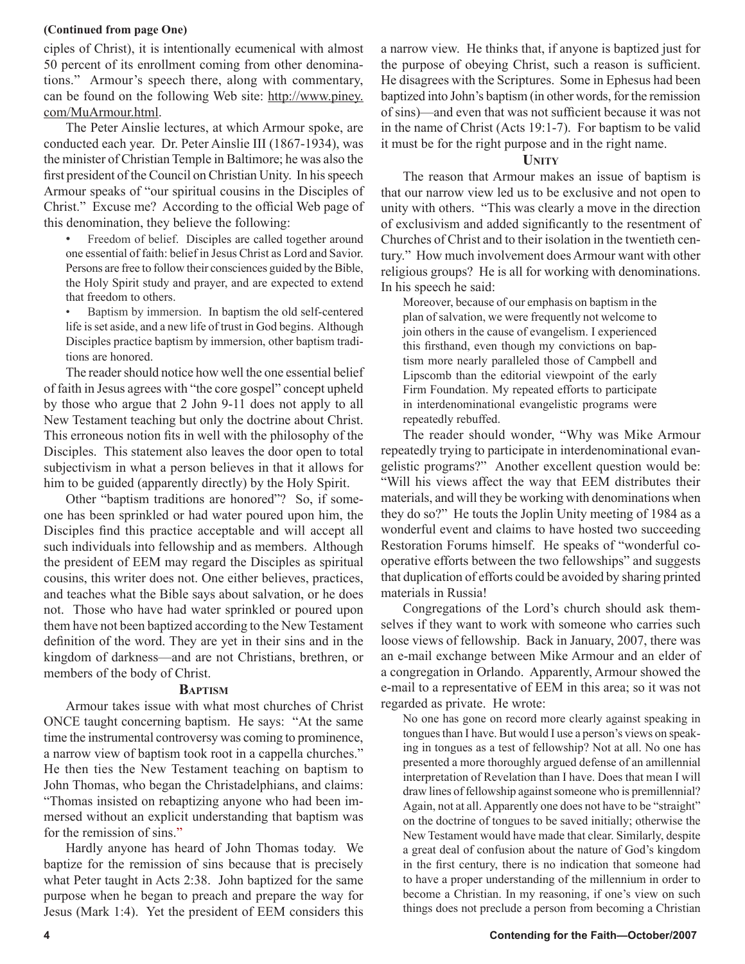#### **(Continued from page One)**

ciples of Christ), it is intentionally ecumenical with almost 50 percent of its enrollment coming from other denominations." Armour's speech there, along with commentary, can be found on the following Web site: http://www.piney. com/MuArmour.html.

The Peter Ainslie lectures, at which Armour spoke, are conducted each year. Dr. Peter Ainslie III (1867-1934), was the minister of Christian Temple in Baltimore; he was also the first president of the Council on Christian Unity. In his speech Armour speaks of "our spiritual cousins in the Disciples of Christ." Excuse me? According to the official Web page of this denomination, they believe the following:

- Freedom of belief. Disciples are called together around one essential of faith: belief in Jesus Christ as Lord and Savior. Persons are free to follow their consciences guided by the Bible, the Holy Spirit study and prayer, and are expected to extend that freedom to others.
- Baptism by immersion. In baptism the old self-centered life is set aside, and a new life of trust in God begins. Although Disciples practice baptism by immersion, other baptism traditions are honored.

The reader should notice how well the one essential belief of faith in Jesus agrees with "the core gospel" concept upheld by those who argue that 2 John 9-11 does not apply to all New Testament teaching but only the doctrine about Christ. This erroneous notion fits in well with the philosophy of the Disciples. This statement also leaves the door open to total subjectivism in what a person believes in that it allows for him to be guided (apparently directly) by the Holy Spirit.

Other "baptism traditions are honored"? So, if someone has been sprinkled or had water poured upon him, the Disciples find this practice acceptable and will accept all such individuals into fellowship and as members. Although the president of EEM may regard the Disciples as spiritual cousins, this writer does not. One either believes, practices, and teaches what the Bible says about salvation, or he does not. Those who have had water sprinkled or poured upon them have not been baptized according to the New Testament definition of the word. They are yet in their sins and in the kingdom of darkness—and are not Christians, brethren, or members of the body of Christ.

#### **BAPTISM**

Armour takes issue with what most churches of Christ ONCE taught concerning baptism. He says: "At the same time the instrumental controversy was coming to prominence, a narrow view of baptism took root in a cappella churches." He then ties the New Testament teaching on baptism to John Thomas, who began the Christadelphians, and claims: "Thomas insisted on rebaptizing anyone who had been immersed without an explicit understanding that baptism was for the remission of sins."

Hardly anyone has heard of John Thomas today. We baptize for the remission of sins because that is precisely what Peter taught in Acts 2:38. John baptized for the same purpose when he began to preach and prepare the way for Jesus (Mark 1:4). Yet the president of EEM considers this a narrow view. He thinks that, if anyone is baptized just for the purpose of obeying Christ, such a reason is sufficient. He disagrees with the Scriptures. Some in Ephesus had been baptized into John's baptism (in other words, for the remission of sins)—and even that was not sufficient because it was not in the name of Christ (Acts 19:1-7). For baptism to be valid it must be for the right purpose and in the right name.

### **UNITY**

The reason that Armour makes an issue of baptism is that our narrow view led us to be exclusive and not open to unity with others. "This was clearly a move in the direction of exclusivism and added significantly to the resentment of Churches of Christ and to their isolation in the twentieth century." How much involvement does Armour want with other religious groups? He is all for working with denominations. In his speech he said:

Moreover, because of our emphasis on baptism in the plan of salvation, we were frequently not welcome to join others in the cause of evangelism. I experienced this firsthand, even though my convictions on baptism more nearly paralleled those of Campbell and Lipscomb than the editorial viewpoint of the early Firm Foundation. My repeated efforts to participate in interdenominational evangelistic programs were repeatedly rebuffed.

The reader should wonder, "Why was Mike Armour repeatedly trying to participate in interdenominational evangelistic programs?" Another excellent question would be: "Will his views affect the way that EEM distributes their materials, and will they be working with denominations when they do so?" He touts the Joplin Unity meeting of 1984 as a wonderful event and claims to have hosted two succeeding Restoration Forums himself. He speaks of "wonderful cooperative efforts between the two fellowships" and suggests that duplication of efforts could be avoided by sharing printed materials in Russia!

Congregations of the Lord's church should ask themselves if they want to work with someone who carries such loose views of fellowship. Back in January, 2007, there was an e-mail exchange between Mike Armour and an elder of a congregation in Orlando. Apparently, Armour showed the e-mail to a representative of EEM in this area; so it was not regarded as private. He wrote:

No one has gone on record more clearly against speaking in tongues than I have. But would I use a person's views on speaking in tongues as a test of fellowship? Not at all. No one has presented a more thoroughly argued defense of an amillennial interpretation of Revelation than I have. Does that mean I will draw lines of fellowship against someone who is premillennial? Again, not at all. Apparently one does not have to be "straight" on the doctrine of tongues to be saved initially; otherwise the New Testament would have made that clear. Similarly, despite a great deal of confusion about the nature of God's kingdom in the first century, there is no indication that someone had to have a proper understanding of the millennium in order to become a Christian. In my reasoning, if one's view on such things does not preclude a person from becoming a Christian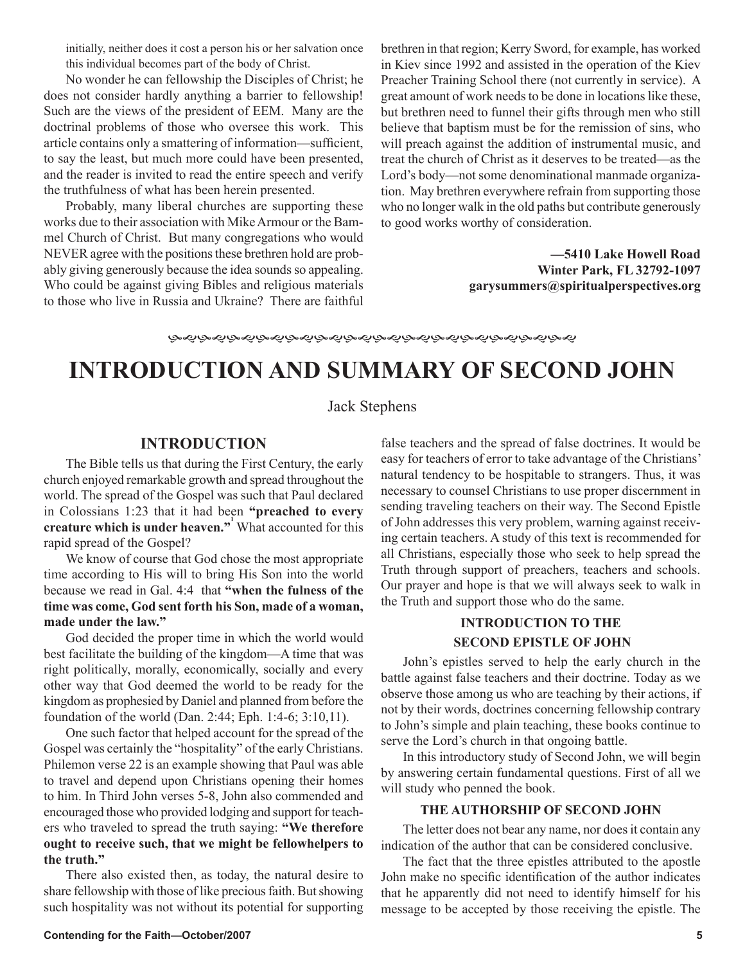initially, neither does it cost a person his or her salvation once this individual becomes part of the body of Christ.

No wonder he can fellowship the Disciples of Christ; he does not consider hardly anything a barrier to fellowship! Such are the views of the president of EEM. Many are the doctrinal problems of those who oversee this work. This article contains only a smattering of information—sufficient, to say the least, but much more could have been presented, and the reader is invited to read the entire speech and verify the truthfulness of what has been herein presented.

Probably, many liberal churches are supporting these works due to their association with Mike Armour or the Bammel Church of Christ. But many congregations who would NEVER agree with the positions these brethren hold are probably giving generously because the idea sounds so appealing. Who could be against giving Bibles and religious materials to those who live in Russia and Ukraine? There are faithful brethren in that region; Kerry Sword, for example, has worked in Kiev since 1992 and assisted in the operation of the Kiev Preacher Training School there (not currently in service). A great amount of work needs to be done in locations like these, but brethren need to funnel their gifts through men who still believe that baptism must be for the remission of sins, who will preach against the addition of instrumental music, and treat the church of Christ as it deserves to be treated—as the Lord's body—not some denominational manmade organization. May brethren everywhere refrain from supporting those who no longer walk in the old paths but contribute generously to good works worthy of consideration.

> **—5410 Lake Howell Road Winter Park, FL 32792-1097 garysummers@spiritualperspectives.org**

### **INTRODUCTION AND SUMMARY OF SECOND JOHN**

### Jack Stephens

### **INTRODUCTION**

The Bible tells us that during the First Century, the early church enjoyed remarkable growth and spread throughout the world. The spread of the Gospel was such that Paul declared in Colossians 1:23 that it had been **"preached to every creature which is under heaven.**" What accounted for this rapid spread of the Gospel?

We know of course that God chose the most appropriate time according to His will to bring His Son into the world because we read in Gal. 4:4 that **"when the fulness of the time was come, God sent forth his Son, made of a woman, made under the law."**

God decided the proper time in which the world would best facilitate the building of the kingdom—A time that was right politically, morally, economically, socially and every other way that God deemed the world to be ready for the kingdom as prophesied by Daniel and planned from before the foundation of the world (Dan. 2:44; Eph. 1:4-6; 3:10,11).

One such factor that helped account for the spread of the Gospel was certainly the "hospitality" of the early Christians. Philemon verse 22 is an example showing that Paul was able to travel and depend upon Christians opening their homes to him. In Third John verses 5-8, John also commended and encouraged those who provided lodging and support for teachers who traveled to spread the truth saying: **"We therefore ought to receive such, that we might be fellowhelpers to the truth."**

There also existed then, as today, the natural desire to share fellowship with those of like precious faith. But showing such hospitality was not without its potential for supporting false teachers and the spread of false doctrines. It would be easy for teachers of error to take advantage of the Christians' natural tendency to be hospitable to strangers. Thus, it was necessary to counsel Christians to use proper discernment in sending traveling teachers on their way. The Second Epistle of John addresses this very problem, warning against receiving certain teachers. A study of this text is recommended for all Christians, especially those who seek to help spread the Truth through support of preachers, teachers and schools. Our prayer and hope is that we will always seek to walk in the Truth and support those who do the same.

### **INTRODUCTION TO THE SECOND EPISTLE OF JOHN**

John's epistles served to help the early church in the battle against false teachers and their doctrine. Today as we observe those among us who are teaching by their actions, if not by their words, doctrines concerning fellowship contrary to John's simple and plain teaching, these books continue to serve the Lord's church in that ongoing battle.

In this introductory study of Second John, we will begin by answering certain fundamental questions. First of all we will study who penned the book.

### **THE AUTHORSHIP OF SECOND JOHN**

The letter does not bear any name, nor does it contain any indication of the author that can be considered conclusive.

The fact that the three epistles attributed to the apostle John make no specific identification of the author indicates that he apparently did not need to identify himself for his message to be accepted by those receiving the epistle. The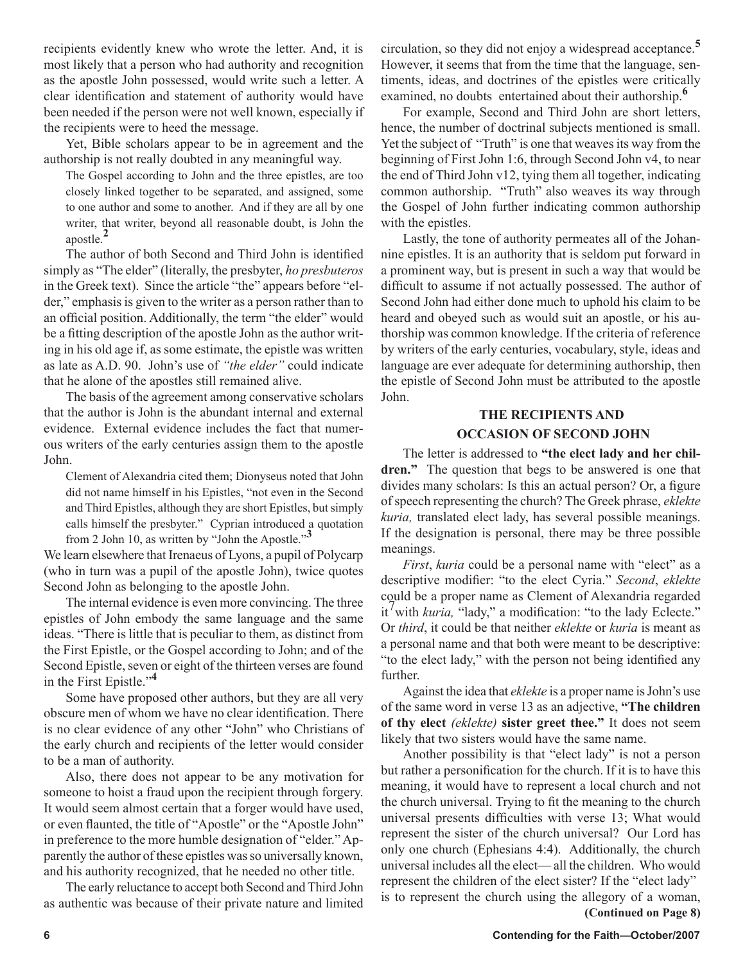recipients evidently knew who wrote the letter. And, it is most likely that a person who had authority and recognition as the apostle John possessed, would write such a letter. A clear identification and statement of authority would have been needed if the person were not well known, especially if the recipients were to heed the message.

Yet, Bible scholars appear to be in agreement and the authorship is not really doubted in any meaningful way.

The Gospel according to John and the three epistles, are too closely linked together to be separated, and assigned, some to one author and some to another. And if they are all by one writer, that writer, beyond all reasonable doubt, is John the apostle.**<sup>2</sup>**

The author of both Second and Third John is identified simply as "The elder" (literally, the presbyter, *ho presbuteros* in the Greek text). Since the article "the" appears before "elder," emphasis is given to the writer as a person rather than to an official position. Additionally, the term "the elder" would be a fitting description of the apostle John as the author writing in his old age if, as some estimate, the epistle was written as late as A.D. 90. John's use of *"the elder"* could indicate that he alone of the apostles still remained alive.

The basis of the agreement among conservative scholars that the author is John is the abundant internal and external evidence. External evidence includes the fact that numerous writers of the early centuries assign them to the apostle John.

Clement of Alexandria cited them; Dionyseus noted that John did not name himself in his Epistles, "not even in the Second and Third Epistles, although they are short Epistles, but simply calls himself the presbyter." Cyprian introduced a quotation from 2 John 10, as written by "John the Apostle."**<sup>3</sup>**

We learn elsewhere that Irenaeus of Lyons, a pupil of Polycarp (who in turn was a pupil of the apostle John), twice quotes Second John as belonging to the apostle John.

The internal evidence is even more convincing. The three epistles of John embody the same language and the same ideas. "There is little that is peculiar to them, as distinct from the First Epistle, or the Gospel according to John; and of the Second Epistle, seven or eight of the thirteen verses are found in the First Epistle."**<sup>4</sup>**

Some have proposed other authors, but they are all very obscure men of whom we have no clear identification. There is no clear evidence of any other "John" who Christians of the early church and recipients of the letter would consider to be a man of authority.

Also, there does not appear to be any motivation for someone to hoist a fraud upon the recipient through forgery. It would seem almost certain that a forger would have used, or even flaunted, the title of "Apostle" or the "Apostle John" in preference to the more humble designation of "elder." Apparently the author of these epistles was so universally known, and his authority recognized, that he needed no other title.

The early reluctance to accept both Second and Third John as authentic was because of their private nature and limited

circulation, so they did not enjoy a widespread acceptance.**<sup>5</sup>** However, it seems that from the time that the language, sentiments, ideas, and doctrines of the epistles were critically examined, no doubts entertained about their authorship.**<sup>6</sup>**

For example, Second and Third John are short letters, hence, the number of doctrinal subjects mentioned is small. Yet the subject of "Truth" is one that weaves its way from the beginning of First John 1:6, through Second John v4, to near the end of Third John v12, tying them all together, indicating common authorship. "Truth" also weaves its way through the Gospel of John further indicating common authorship with the epistles.

Lastly, the tone of authority permeates all of the Johannine epistles. It is an authority that is seldom put forward in a prominent way, but is present in such a way that would be difficult to assume if not actually possessed. The author of Second John had either done much to uphold his claim to be heard and obeyed such as would suit an apostle, or his authorship was common knowledge. If the criteria of reference by writers of the early centuries, vocabulary, style, ideas and language are ever adequate for determining authorship, then the epistle of Second John must be attributed to the apostle John.

### **THE RECIPIENTS AND OCCASION OF SECOND JOHN**

The letter is addressed to **"the elect lady and her children."**The question that begs to be answered is one that divides many scholars: Is this an actual person? Or, a figure of speech representing the church? The Greek phrase, *eklekte kuria,* translated elect lady, has several possible meanings. If the designation is personal, there may be three possible meanings.

*First*, *kuria* could be a personal name with "elect" as a descriptive modifier: "to the elect Cyria." *Second*, *eklekte* could be a proper name as Clement of Alexandria regarded it<sup>'</sup> with *kuria*, "lady," a modification: "to the lady Eclecte." Or *third*, it could be that neither *eklekte* or *kuria* is meant as a personal name and that both were meant to be descriptive: "to the elect lady," with the person not being identified any further.

Against the idea that *eklekte* is a proper name is John's use of the same word in verse 13 as an adjective, **"The children of thy elect** *(eklekte)* **sister greet thee."** It does not seem likely that two sisters would have the same name.

Another possibility is that "elect lady" is not a person but rather a personification for the church. If it is to have this meaning, it would have to represent a local church and not the church universal. Trying to fit the meaning to the church universal presents difficulties with verse 13; What would represent the sister of the church universal? Our Lord has only one church (Ephesians 4:4). Additionally, the church universal includes all the elect— all the children. Who would represent the children of the elect sister? If the "elect lady" is to represent the church using the allegory of a woman, **(Continued on Page 8)**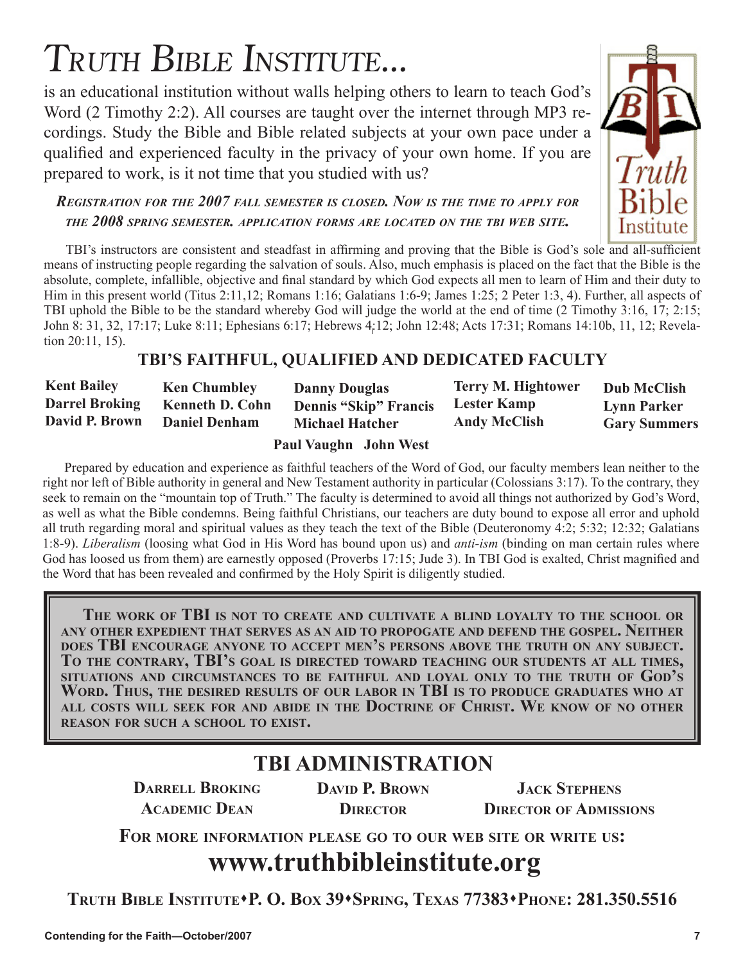## TRUTH BIBLE INSTITUTE...

is an educational institution without walls helping others to learn to teach God's Word (2 Timothy 2:2). All courses are taught over the internet through MP3 recordings. Study the Bible and Bible related subjects at your own pace under a qualified and experienced faculty in the privacy of your own home. If you are prepared to work, is it not time that you studied with us?



### *REGISTRATION FOR THE 2007 FALL SEMESTER IS CLOSED. NOW IS THE TIME TO APPLY FOR THE 2008 SPRING SEMESTER. APPLICATION FORMS ARE LOCATED ON THE TBI WEB SITE.*

TBI's instructors are consistent and steadfast in affirming and proving that the Bible is God's sole and all-sufficient means of instructing people regarding the salvation of souls. Also, much emphasis is placed on the fact that the Bible is the absolute, complete, infallible, objective and final standard by which God expects all men to learn of Him and their duty to Him in this present world (Titus 2:11,12; Romans 1:16; Galatians 1:6-9; James 1:25; 2 Peter 1:3, 4). Further, all aspects of TBI uphold the Bible to be the standard whereby God will judge the world at the end of time (2 Timothy 3:16, 17; 2:15; John 8: 31, 32, 17:17; Luke 8:11; Ephesians 6:17; Hebrews 4:12; John 12:48; Acts 17:31; Romans 14:10b, 11, 12; Revelation 20:11, 15).

### **TBI'S FAITHFUL, QUALIFIED AND DEDICATED FACULTY**

| <b>Kent Bailey</b>    | <b>Ken Chumbley</b>    | <b>Danny Douglas</b>         | <b>Terry M. Hightower</b> | <b>Dub McClish</b>  |
|-----------------------|------------------------|------------------------------|---------------------------|---------------------|
| <b>Darrel Broking</b> | <b>Kenneth D. Cohn</b> | <b>Dennis "Skip" Francis</b> | <b>Lester Kamp</b>        | <b>Lynn Parker</b>  |
| David P. Brown        | <b>Daniel Denham</b>   | <b>Michael Hatcher</b>       | <b>Andy McClish</b>       | <b>Gary Summers</b> |
|                       |                        |                              |                           |                     |

 **Paul Vaughn John West**

Prepared by education and experience as faithful teachers of the Word of God, our faculty members lean neither to the right nor left of Bible authority in general and New Testament authority in particular (Colossians 3:17). To the contrary, they seek to remain on the "mountain top of Truth." The faculty is determined to avoid all things not authorized by God's Word, as well as what the Bible condemns. Being faithful Christians, our teachers are duty bound to expose all error and uphold all truth regarding moral and spiritual values as they teach the text of the Bible (Deuteronomy 4:2; 5:32; 12:32; Galatians 1:8-9). *Liberalism* (loosing what God in His Word has bound upon us) and *anti-ism* (binding on man certain rules where God has loosed us from them) are earnestly opposed (Proverbs 17:15; Jude 3). In TBI God is exalted, Christ magnified and the Word that has been revealed and confirmed by the Holy Spirit is diligently studied.

**THE WORK OF TBI IS NOT TO CREATE AND CULTIVATE A BLIND LOYALTY TO THE SCHOOL OR ANY OTHER EXPEDIENT THAT SERVES AS AN AID TO PROPOGATE AND DEFEND THE GOSPEL. NEITHER** DOES TBI ENCOURAGE ANYONE TO ACCEPT MEN'S PERSONS ABOVE THE TRUTH ON ANY SUBJECT.<br>TO THE CONTRARY, TBI'S GOAL IS DIRECTED TOWARD TEACHING OUR STUDENTS AT ALL TIMES, **SITUATIONS AND CIRCUMSTANCES TO BE FAITHFUL AND LOYAL ONLY TO THE TRUTH OF GOD'S WORD. THUS, THE DESIRED RESULTS OF OUR LABOR IN TBI IS TO PRODUCE GRADUATES WHO AT ALL COSTS WILL SEEK FOR AND ABIDE IN THE DOCTRINE OF CHRIST. WE KNOW OF NO OTHER REASON FOR SUCH A SCHOOL TO EXIST.**

### **TBI ADMINISTRATION**

**DARRELL BROKING ACADEMIC DEAN**

**DAVID P. BROWN DIRECTOR**

**JACK STEPHENS DIRECTOR OF ADMISSIONS**

**FOR MORE INFORMATION PLEASE GO TO OUR WEB SITE OR WRITE US:**

### **www.truthbibleinstitute.org**

**TRUTH BIBLE INSTITUTEP. O. BOX 39SPRING, TEXAS 77383PHONE: 281.350.5516**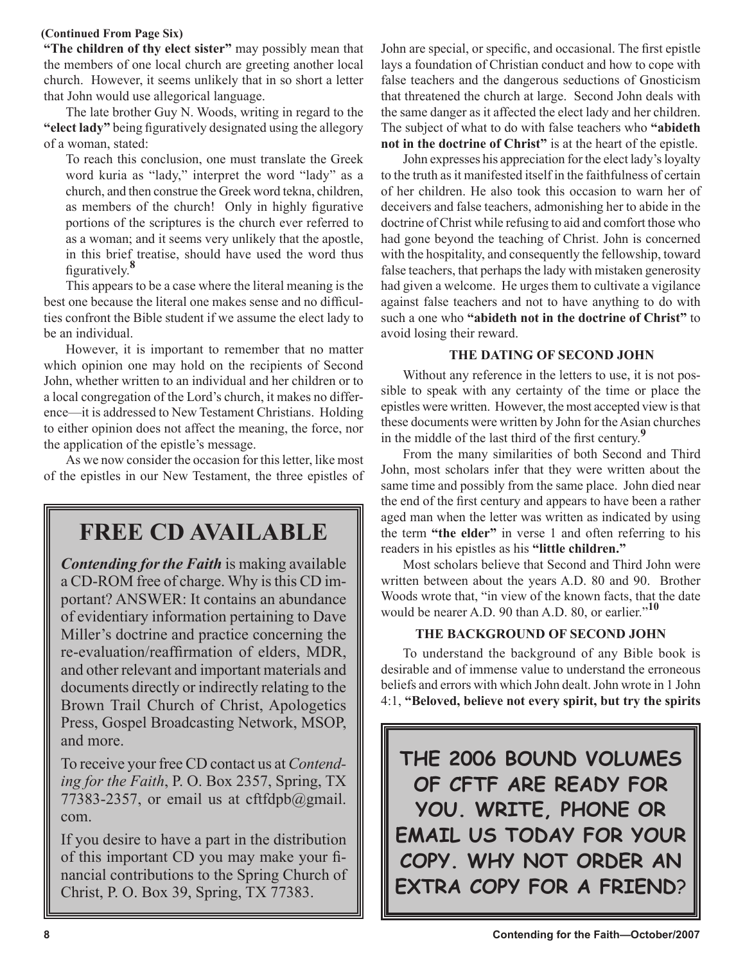### **(Continued From Page Six)**

**"The children of thy elect sister"** may possibly mean that the members of one local church are greeting another local church. However, it seems unlikely that in so short a letter that John would use allegorical language.

The late brother Guy N. Woods, writing in regard to the **"elect lady"** being figuratively designated using the allegory of a woman, stated:

To reach this conclusion, one must translate the Greek word kuria as "lady," interpret the word "lady" as a church, and then construe the Greek word tekna, children, as members of the church! Only in highly figurative portions of the scriptures is the church ever referred to as a woman; and it seems very unlikely that the apostle, in this brief treatise, should have used the word thus figuratively.**<sup>8</sup>**

This appears to be a case where the literal meaning is the best one because the literal one makes sense and no difficulties confront the Bible student if we assume the elect lady to be an individual.

However, it is important to remember that no matter which opinion one may hold on the recipients of Second John, whether written to an individual and her children or to a local congregation of the Lord's church, it makes no difference—it is addressed to New Testament Christians. Holding to either opinion does not affect the meaning, the force, nor the application of the epistle's message.

As we now consider the occasion for this letter, like most of the epistles in our New Testament, the three epistles of

### **FREE CD AVAILABLE**

*Contending for the Faith* is making available a CD-ROM free of charge. Why is this CD important? ANSWER: It contains an abundance of evidentiary information pertaining to Dave Miller's doctrine and practice concerning the re-evaluation/reaffirmation of elders, MDR, and other relevant and important materials and documents directly or indirectly relating to the Brown Trail Church of Christ, Apologetics Press, Gospel Broadcasting Network, MSOP, and more.

To receive your free CD contact us at *Contending for the Faith*, P. O. Box 2357, Spring, TX 77383-2357, or email us at cftfdpb@gmail. com.

If you desire to have a part in the distribution of this important CD you may make your financial contributions to the Spring Church of Christ, P. O. Box 39, Spring, TX 77383.

John are special, or specific, and occasional. The first epistle lays a foundation of Christian conduct and how to cope with false teachers and the dangerous seductions of Gnosticism that threatened the church at large. Second John deals with the same danger as it affected the elect lady and her children. The subject of what to do with false teachers who **"abideth not in the doctrine of Christ"** is at the heart of the epistle.

John expresses his appreciation for the elect lady's loyalty to the truth as it manifested itself in the faithfulness of certain of her children. He also took this occasion to warn her of deceivers and false teachers, admonishing her to abide in the doctrine of Christ while refusing to aid and comfort those who had gone beyond the teaching of Christ. John is concerned with the hospitality, and consequently the fellowship, toward false teachers, that perhaps the lady with mistaken generosity had given a welcome. He urges them to cultivate a vigilance against false teachers and not to have anything to do with such a one who **"abideth not in the doctrine of Christ"** to avoid losing their reward.

### **THE DATING OF SECOND JOHN**

Without any reference in the letters to use, it is not possible to speak with any certainty of the time or place the epistles were written. However, the most accepted view is that these documents were written by John for the Asian churches in the middle of the last third of the first century.**<sup>9</sup>**

From the many similarities of both Second and Third John, most scholars infer that they were written about the same time and possibly from the same place. John died near the end of the first century and appears to have been a rather aged man when the letter was written as indicated by using the term **"the elder"** in verse 1 and often referring to his readers in his epistles as his **"little children."**

Most scholars believe that Second and Third John were written between about the years A.D. 80 and 90. Brother Woods wrote that, "in view of the known facts, that the date would be nearer A.D. 90 than A.D. 80, or earlier."**<sup>10</sup>**

### **THE BACKGROUND OF SECOND JOHN**

To understand the background of any Bible book is desirable and of immense value to understand the erroneous beliefs and errors with which John dealt. John wrote in 1 John 4:1, **"Beloved, believe not every spirit, but try the spirits** 

**THE 2006 BOUND VOLUMES OF CFTF ARE READY FOR YOU. WRITE, PHONE OR EMAIL US TODAY FOR YOUR COPY. WHY NOT ORDER AN EXTRA COPY FOR A FRIEND**?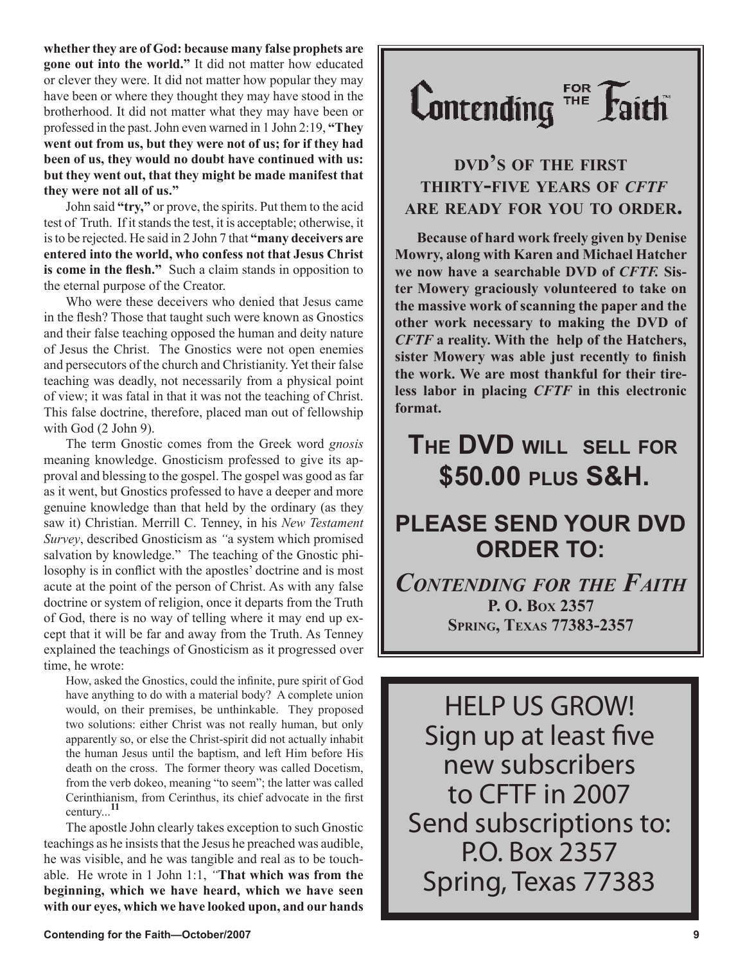**whether they are of God: because many false prophets are gone out into the world."** It did not matter how educated or clever they were. It did not matter how popular they may have been or where they thought they may have stood in the brotherhood. It did not matter what they may have been or professed in the past. John even warned in 1 John 2:19, **"They went out from us, but they were not of us; for if they had been of us, they would no doubt have continued with us: but they went out, that they might be made manifest that they were not all of us."**

John said **"try,"** or prove, the spirits. Put them to the acid test of Truth. If it stands the test, it is acceptable; otherwise, it is to be rejected. He said in 2 John 7 that **"many deceivers are entered into the world, who confess not that Jesus Christ is come in the flesh."**Such a claim stands in opposition to the eternal purpose of the Creator.

Who were these deceivers who denied that Jesus came in the flesh? Those that taught such were known as Gnostics and their false teaching opposed the human and deity nature of Jesus the Christ. The Gnostics were not open enemies and persecutors of the church and Christianity. Yet their false teaching was deadly, not necessarily from a physical point of view; it was fatal in that it was not the teaching of Christ. This false doctrine, therefore, placed man out of fellowship with God (2 John 9).

The term Gnostic comes from the Greek word *gnosis* meaning knowledge. Gnosticism professed to give its approval and blessing to the gospel. The gospel was good as far as it went, but Gnostics professed to have a deeper and more genuine knowledge than that held by the ordinary (as they saw it) Christian. Merrill C. Tenney, in his *New Testament Survey*, described Gnosticism as *"*a system which promised salvation by knowledge." The teaching of the Gnostic philosophy is in conflict with the apostles' doctrine and is most acute at the point of the person of Christ. As with any false doctrine or system of religion, once it departs from the Truth of God, there is no way of telling where it may end up except that it will be far and away from the Truth. As Tenney explained the teachings of Gnosticism as it progressed over time, he wrote:

How, asked the Gnostics, could the infinite, pure spirit of God have anything to do with a material body? A complete union would, on their premises, be unthinkable. They proposed two solutions: either Christ was not really human, but only apparently so, or else the Christ-spirit did not actually inhabit the human Jesus until the baptism, and left Him before His death on the cross. The former theory was called Docetism, from the verb dokeo, meaning "to seem"; the latter was called Cerinthianism, from Cerinthus, its chief advocate in the first century...**<sup>11</sup>**

The apostle John clearly takes exception to such Gnostic teachings as he insists that the Jesus he preached was audible, he was visible, and he was tangible and real as to be touchable. He wrote in 1 John 1:1, *"***That which was from the beginning, which we have heard, which we have seen with our eyes, which we have looked upon, and our hands** 

# Contending FOR Faith

### **DVD'S OF THE FIRST THIRTY-FIVE YEARS OF** *CFTF* **ARE READY FOR YOU TO ORDER.**

**Because of hard work freely given by Denise Mowry, along with Karen and Michael Hatcher we now have a searchable DVD of** *CFTF.* **Sister Mowery graciously volunteered to take on the massive work of scanning the paper and the other work necessary to making the DVD of**  *CFTF* **a reality. With the help of the Hatchers, sister Mowery was able just recently to finish the work. We are most thankful for their tireless labor in placing** *CFTF* **in this electronic format.**

### **THE DVD WILL SELL FOR \$50.00 PLUS S&H.**

### **PLEASE SEND YOUR DVD ORDER TO:**

*CONTENDING FOR THE FAITH* **P. O. BOX 2357 SPRING, TEXAS 77383-2357** 

HELP US GROW! Sign up at least five new subscribers to CFTF in 2007 Send subscriptions to: P.O. Box 2357 Spring, Texas 77383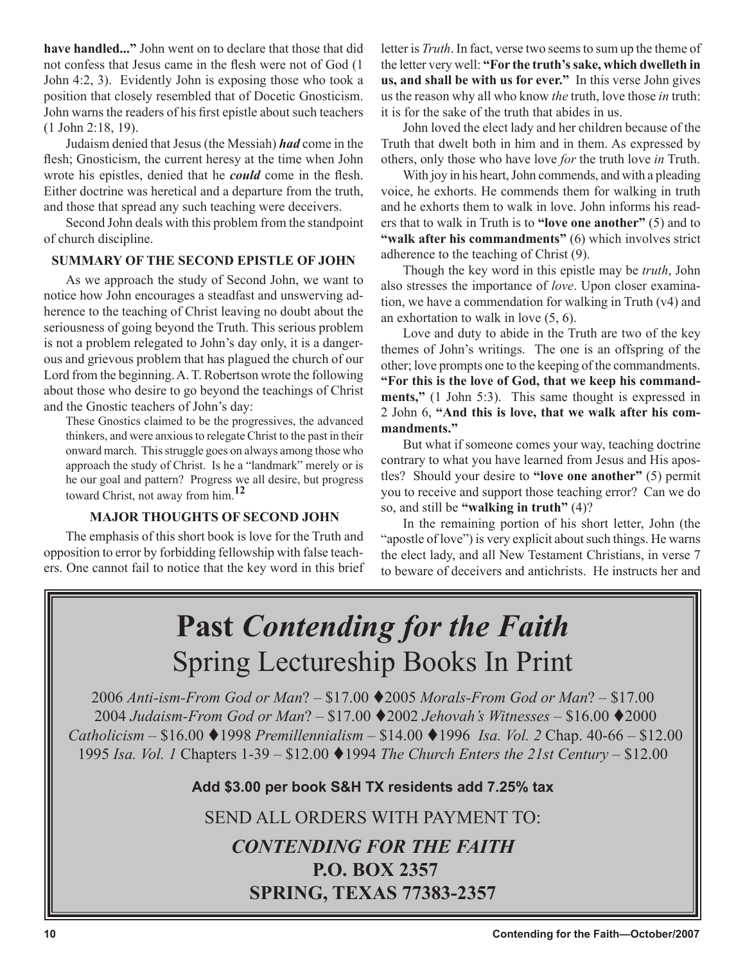**have handled..."** John went on to declare that those that did not confess that Jesus came in the flesh were not of God (1 John 4:2, 3). Evidently John is exposing those who took a position that closely resembled that of Docetic Gnosticism. John warns the readers of his first epistle about such teachers (1 John 2:18, 19).

Judaism denied that Jesus (the Messiah) *had* come in the flesh; Gnosticism, the current heresy at the time when John wrote his epistles, denied that he *could* come in the flesh. Either doctrine was heretical and a departure from the truth, and those that spread any such teaching were deceivers.

Second John deals with this problem from the standpoint of church discipline.

### **SUMMARY OF THE SECOND EPISTLE OF JOHN**

As we approach the study of Second John, we want to notice how John encourages a steadfast and unswerving adherence to the teaching of Christ leaving no doubt about the seriousness of going beyond the Truth. This serious problem is not a problem relegated to John's day only, it is a dangerous and grievous problem that has plagued the church of our Lord from the beginning. A. T. Robertson wrote the following about those who desire to go beyond the teachings of Christ and the Gnostic teachers of John's day:

These Gnostics claimed to be the progressives, the advanced thinkers, and were anxious to relegate Christ to the past in their onward march. This struggle goes on always among those who approach the study of Christ. Is he a "landmark" merely or is he our goal and pattern? Progress we all desire, but progress toward Christ, not away from him.**<sup>12</sup>**

### **MAJOR THOUGHTS OF SECOND JOHN**

The emphasis of this short book is love for the Truth and opposition to error by forbidding fellowship with false teachers. One cannot fail to notice that the key word in this brief letter is *Truth*. In fact, verse two seems to sum up the theme of the letter very well: **"For the truth's sake, which dwelleth in us, and shall be with us for ever."** In this verse John gives us the reason why all who know *the* truth, love those *in* truth: it is for the sake of the truth that abides in us.

John loved the elect lady and her children because of the Truth that dwelt both in him and in them. As expressed by others, only those who have love *for* the truth love *in* Truth.

With joy in his heart, John commends, and with a pleading voice, he exhorts. He commends them for walking in truth and he exhorts them to walk in love. John informs his readers that to walk in Truth is to **"love one another"** (5) and to **"walk after his commandments"** (6) which involves strict adherence to the teaching of Christ (9).

Though the key word in this epistle may be *truth*, John also stresses the importance of *love*. Upon closer examination, we have a commendation for walking in Truth (v4) and an exhortation to walk in love (5, 6).

Love and duty to abide in the Truth are two of the key themes of John's writings. The one is an offspring of the other; love prompts one to the keeping of the commandments. **"For this is the love of God, that we keep his commandments,"** (1 John 5:3). This same thought is expressed in 2 John 6, **"And this is love, that we walk after his commandments."**

But what if someone comes your way, teaching doctrine contrary to what you have learned from Jesus and His apostles? Should your desire to **"love one another"** (5) permit you to receive and support those teaching error? Can we do so, and still be **"walking in truth"** (4)?

In the remaining portion of his short letter, John (the "apostle of love") is very explicit about such things. He warns the elect lady, and all New Testament Christians, in verse 7 to beware of deceivers and antichrists. He instructs her and

### **Past** *Contending for the Faith* Spring Lectureship Books In Print

*Anti-ism-From God or Man*? – \$17.00 2005 *Morals-From God or Man*? – \$17.00 *Judaism-From God or Man*? – \$17.00 2002 *Jehovah's Witnesses –* \$16.00 2000 *Catholicism –* \$16.00 1998 *Premillennialism –* \$14.00 1996 *Isa. Vol. 2* Chap. 40-66 – \$12.00 *Isa. Vol. 1* Chapters 1-39 – \$12.00 1994 *The Church Enters the 21st Century* – \$12.00

**Add \$3.00 per book S&H TX residents add 7.25% tax**

SEND ALL ORDERS WITH PAYMENT TO:

### *CONTENDING FOR THE FAITH* **P.O. BOX 2357 SPRING, TEXAS 77383-2357**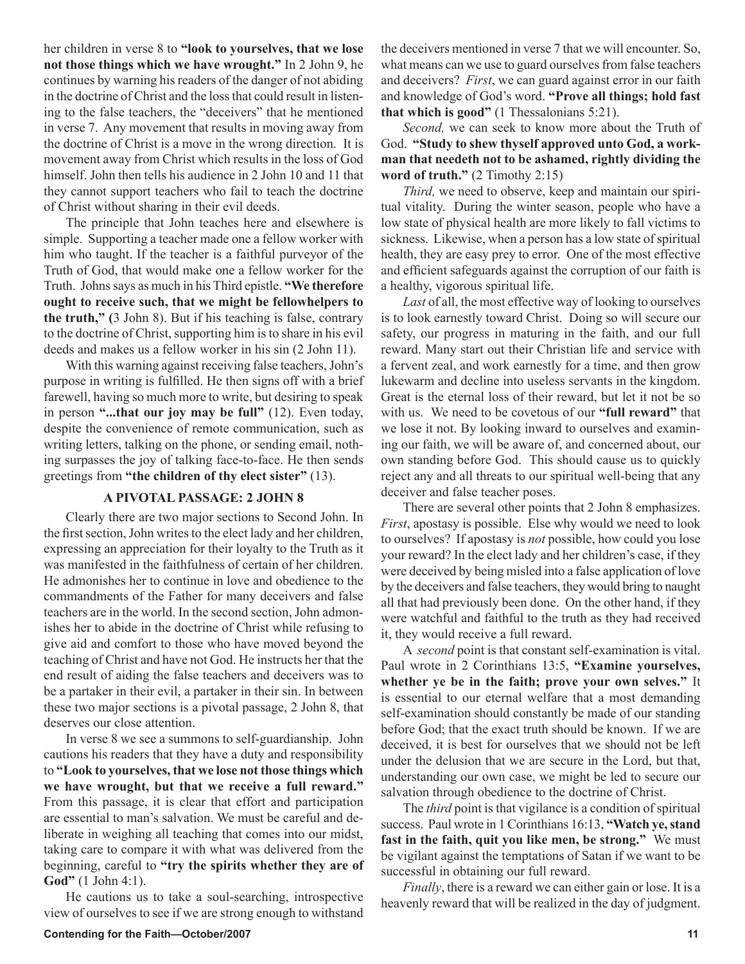her children in verse 8 to **"look to yourselves, that we lose not those things which we have wrought."** In 2 John 9, he continues by warning his readers of the danger of not abiding in the doctrine of Christ and the loss that could result in listening to the false teachers, the "deceivers" that he mentioned in verse 7. Any movement that results in moving away from the doctrine of Christ is a move in the wrong direction. It is movement away from Christ which results in the loss of God himself. John then tells his audience in 2 John 10 and 11 that they cannot support teachers who fail to teach the doctrine of Christ without sharing in their evil deeds.

The principle that John teaches here and elsewhere is simple. Supporting a teacher made one a fellow worker with him who taught. If the teacher is a faithful purveyor of the Truth of God, that would make one a fellow worker for the Truth. Johns says as much in his Third epistle. **"We therefore ought to receive such, that we might be fellowhelpers to the truth," (**3 John 8). But if his teaching is false, contrary to the doctrine of Christ, supporting him is to share in his evil deeds and makes us a fellow worker in his sin (2 John 11).

With this warning against receiving false teachers, John's purpose in writing is fulfilled. He then signs off with a brief farewell, having so much more to write, but desiring to speak in person **"...that our joy may be full"** (12). Even today, despite the convenience of remote communication, such as writing letters, talking on the phone, or sending email, nothing surpasses the joy of talking face-to-face. He then sends greetings from **"the children of thy elect sister"** (13).

#### **A PIVOTAL PASSAGE: 2 JOHN 8**

Clearly there are two major sections to Second John. In the first section, John writes to the elect lady and her children, expressing an appreciation for their loyalty to the Truth as it was manifested in the faithfulness of certain of her children. He admonishes her to continue in love and obedience to the commandments of the Father for many deceivers and false teachers are in the world. In the second section, John admonishes her to abide in the doctrine of Christ while refusing to give aid and comfort to those who have moved beyond the teaching of Christ and have not God. He instructs her that the end result of aiding the false teachers and deceivers was to be a partaker in their evil, a partaker in their sin. In between these two major sections is a pivotal passage, 2 John 8, that deserves our close attention.

In verse 8 we see a summons to self-guardianship. John cautions his readers that they have a duty and responsibility to **"Look to yourselves, that we lose not those things which we have wrought, but that we receive a full reward."**  From this passage, it is clear that effort and participation are essential to man's salvation. We must be careful and deliberate in weighing all teaching that comes into our midst, taking care to compare it with what was delivered from the beginning, careful to **"try the spirits whether they are of God"** (1 John 4:1).

He cautions us to take a soul-searching, introspective view of ourselves to see if we are strong enough to withstand the deceivers mentioned in verse 7 that we will encounter. So, what means can we use to guard ourselves from false teachers and deceivers? *First*, we can guard against error in our faith and knowledge of God's word. **"Prove all things; hold fast that which is good"** (1 Thessalonians 5:21).

*Second,* we can seek to know more about the Truth of God. **"Study to shew thyself approved unto God, a workman that needeth not to be ashamed, rightly dividing the word of truth."** (2 Timothy 2:15)

*Third,* we need to observe, keep and maintain our spiritual vitality. During the winter season, people who have a low state of physical health are more likely to fall victims to sickness. Likewise, when a person has a low state of spiritual health, they are easy prey to error. One of the most effective and efficient safeguards against the corruption of our faith is a healthy, vigorous spiritual life.

*Last* of all, the most effective way of looking to ourselves is to look earnestly toward Christ. Doing so will secure our safety, our progress in maturing in the faith, and our full reward. Many start out their Christian life and service with a fervent zeal, and work earnestly for a time, and then grow lukewarm and decline into useless servants in the kingdom. Great is the eternal loss of their reward, but let it not be so with us. We need to be covetous of our **"full reward"** that we lose it not. By looking inward to ourselves and examining our faith, we will be aware of, and concerned about, our own standing before God. This should cause us to quickly reject any and all threats to our spiritual well-being that any deceiver and false teacher poses.

There are several other points that 2 John 8 emphasizes. *First*, apostasy is possible. Else why would we need to look to ourselves? If apostasy is *not* possible, how could you lose your reward? In the elect lady and her children's case, if they were deceived by being misled into a false application of love by the deceivers and false teachers, they would bring to naught all that had previously been done. On the other hand, if they were watchful and faithful to the truth as they had received it, they would receive a full reward.

A *second* point is that constant self-examination is vital. Paul wrote in 2 Corinthians 13:5, **"Examine yourselves, whether ye be in the faith; prove your own selves."** It is essential to our eternal welfare that a most demanding self-examination should constantly be made of our standing before God; that the exact truth should be known. If we are deceived, it is best for ourselves that we should not be left under the delusion that we are secure in the Lord, but that, understanding our own case, we might be led to secure our salvation through obedience to the doctrine of Christ.

The *third* point is that vigilance is a condition of spiritual success. Paul wrote in 1 Corinthians 16:13, **"Watch ye, stand fast in the faith, quit you like men, be strong."** We must be vigilant against the temptations of Satan if we want to be successful in obtaining our full reward.

*Finally*, there is a reward we can either gain or lose. It is a heavenly reward that will be realized in the day of judgment.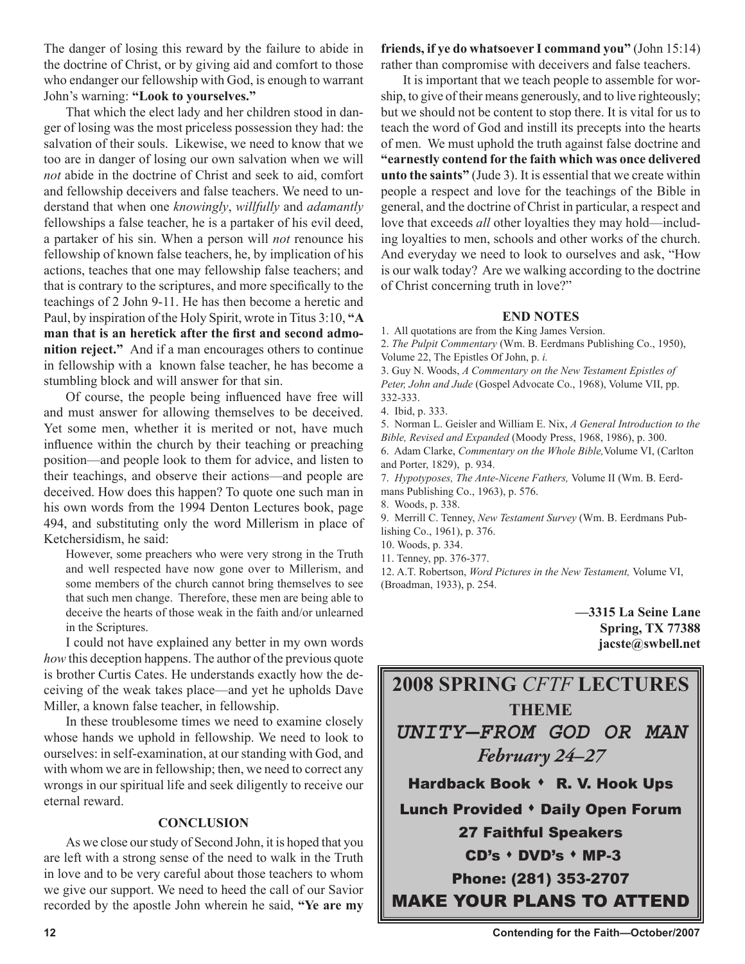The danger of losing this reward by the failure to abide in the doctrine of Christ, or by giving aid and comfort to those who endanger our fellowship with God, is enough to warrant John's warning: **"Look to yourselves."**

That which the elect lady and her children stood in danger of losing was the most priceless possession they had: the salvation of their souls. Likewise, we need to know that we too are in danger of losing our own salvation when we will *not* abide in the doctrine of Christ and seek to aid, comfort and fellowship deceivers and false teachers. We need to understand that when one *knowingly*, *willfully* and *adamantly* fellowships a false teacher, he is a partaker of his evil deed, a partaker of his sin. When a person will *not* renounce his fellowship of known false teachers, he, by implication of his actions, teaches that one may fellowship false teachers; and that is contrary to the scriptures, and more specifically to the teachings of 2 John 9-11. He has then become a heretic and Paul, by inspiration of the Holy Spirit, wrote in Titus 3:10, **"A man that is an heretick after the first and second admonition reject."** And if a man encourages others to continue in fellowship with a known false teacher, he has become a stumbling block and will answer for that sin.

Of course, the people being influenced have free will and must answer for allowing themselves to be deceived. Yet some men, whether it is merited or not, have much influence within the church by their teaching or preaching position—and people look to them for advice, and listen to their teachings, and observe their actions—and people are deceived. How does this happen? To quote one such man in his own words from the 1994 Denton Lectures book, page 494, and substituting only the word Millerism in place of Ketchersidism, he said:

However, some preachers who were very strong in the Truth and well respected have now gone over to Millerism, and some members of the church cannot bring themselves to see that such men change. Therefore, these men are being able to deceive the hearts of those weak in the faith and/or unlearned in the Scriptures.

I could not have explained any better in my own words *how* this deception happens. The author of the previous quote is brother Curtis Cates. He understands exactly how the deceiving of the weak takes place—and yet he upholds Dave Miller, a known false teacher, in fellowship.

In these troublesome times we need to examine closely whose hands we uphold in fellowship. We need to look to ourselves: in self-examination, at our standing with God, and with whom we are in fellowship; then, we need to correct any wrongs in our spiritual life and seek diligently to receive our eternal reward.

### **CONCLUSION**

As we close our study of Second John, it is hoped that you are left with a strong sense of the need to walk in the Truth in love and to be very careful about those teachers to whom we give our support. We need to heed the call of our Savior recorded by the apostle John wherein he said, **"Ye are my**  **friends, if ye do whatsoever I command you"** (John 15:14) rather than compromise with deceivers and false teachers.

It is important that we teach people to assemble for worship, to give of their means generously, and to live righteously; but we should not be content to stop there. It is vital for us to teach the word of God and instill its precepts into the hearts of men. We must uphold the truth against false doctrine and **"earnestly contend for the faith which was once delivered unto the saints"** (Jude 3). It is essential that we create within people a respect and love for the teachings of the Bible in general, and the doctrine of Christ in particular, a respect and love that exceeds *all* other loyalties they may hold—including loyalties to men, schools and other works of the church. And everyday we need to look to ourselves and ask, "How is our walk today? Are we walking according to the doctrine of Christ concerning truth in love?"

### **END NOTES**

1. All quotations are from the King James Version.

2. *The Pulpit Commentary* (Wm. B. Eerdmans Publishing Co., 1950),

Volume 22, The Epistles Of John, p. *i.*

3. Guy N. Woods, *A Commentary on the New Testament Epistles of Peter, John and Jude* (Gospel Advocate Co., 1968), Volume VII, pp. 332-333.

5. Norman L. Geisler and William E. Nix, *A General Introduction to the Bible, Revised and Expanded* (Moody Press, 1968, 1986), p. 300.

6. Adam Clarke, *Commentary on the Whole Bible,*Volume VI, (Carlton and Porter, 1829), p. 934.

7. *Hypotyposes, The Ante-Nicene Fathers,* Volume II (Wm. B. Eerdmans Publishing Co., 1963), p. 576.

9. Merrill C. Tenney, *New Testament Survey* (Wm. B. Eerdmans Publishing Co., 1961), p. 376.

10. Woods, p. 334.

11. Tenney, pp. 376-377.

12. A.T. Robertson, *Word Pictures in the New Testament,* Volume VI, (Broadman, 1933), p. 254.

> **—3315 La Seine Lane Spring, TX 77388 jacste@swbell.net**



<sup>4.</sup> Ibid, p. 333.

<sup>8.</sup> Woods, p. 338.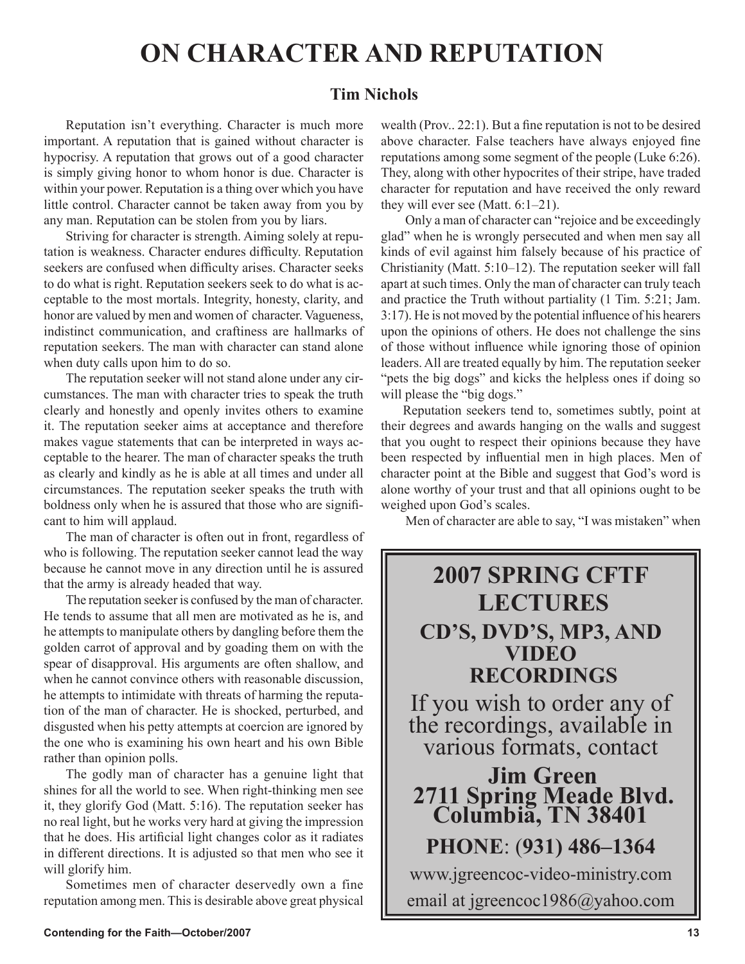### **ON CHARACTER AND REPUTATION**

### **Tim Nichols**

Reputation isn't everything. Character is much more important. A reputation that is gained without character is hypocrisy. A reputation that grows out of a good character is simply giving honor to whom honor is due. Character is within your power. Reputation is a thing over which you have little control. Character cannot be taken away from you by any man. Reputation can be stolen from you by liars.

Striving for character is strength. Aiming solely at reputation is weakness. Character endures difficulty. Reputation seekers are confused when difficulty arises. Character seeks to do what is right. Reputation seekers seek to do what is acceptable to the most mortals. Integrity, honesty, clarity, and honor are valued by men and women of character. Vagueness, indistinct communication, and craftiness are hallmarks of reputation seekers. The man with character can stand alone when duty calls upon him to do so.

The reputation seeker will not stand alone under any circumstances. The man with character tries to speak the truth clearly and honestly and openly invites others to examine it. The reputation seeker aims at acceptance and therefore makes vague statements that can be interpreted in ways acceptable to the hearer. The man of character speaks the truth as clearly and kindly as he is able at all times and under all circumstances. The reputation seeker speaks the truth with boldness only when he is assured that those who are significant to him will applaud.

The man of character is often out in front, regardless of who is following. The reputation seeker cannot lead the way because he cannot move in any direction until he is assured that the army is already headed that way.

The reputation seeker is confused by the man of character. He tends to assume that all men are motivated as he is, and he attempts to manipulate others by dangling before them the golden carrot of approval and by goading them on with the spear of disapproval. His arguments are often shallow, and when he cannot convince others with reasonable discussion, he attempts to intimidate with threats of harming the reputation of the man of character. He is shocked, perturbed, and disgusted when his petty attempts at coercion are ignored by the one who is examining his own heart and his own Bible rather than opinion polls.

The godly man of character has a genuine light that shines for all the world to see. When right-thinking men see it, they glorify God (Matt. 5:16). The reputation seeker has no real light, but he works very hard at giving the impression that he does. His artificial light changes color as it radiates in different directions. It is adjusted so that men who see it will glorify him.

Sometimes men of character deservedly own a fine reputation among men. This is desirable above great physical wealth (Prov.. 22:1). But a fine reputation is not to be desired above character. False teachers have always enjoyed fine reputations among some segment of the people (Luke 6:26). They, along with other hypocrites of their stripe, have traded character for reputation and have received the only reward they will ever see (Matt. 6:1–21).

 Only a man of character can "rejoice and be exceedingly glad" when he is wrongly persecuted and when men say all kinds of evil against him falsely because of his practice of Christianity (Matt. 5:10–12). The reputation seeker will fall apart at such times. Only the man of character can truly teach and practice the Truth without partiality (1 Tim. 5:21; Jam. 3:17). He is not moved by the potential influence of his hearers upon the opinions of others. He does not challenge the sins of those without influence while ignoring those of opinion leaders. All are treated equally by him. The reputation seeker "pets the big dogs" and kicks the helpless ones if doing so will please the "big dogs."

Reputation seekers tend to, sometimes subtly, point at their degrees and awards hanging on the walls and suggest that you ought to respect their opinions because they have been respected by influential men in high places. Men of character point at the Bible and suggest that God's word is alone worthy of your trust and that all opinions ought to be weighed upon God's scales.

Men of character are able to say, "I was mistaken" when

### **2007 SPRING CFTF LECTURES CD'S, DVD'S, MP3, AND VIDEO RECORDINGS**  If you wish to order any of the recordings, available in various formats, contact **Jim Green 2711 Spring Meade Blvd. Columbia, TN 38401 PHONE**: (**931) 486–1364** www.jgreencoc-video-ministry.com email at jgreencoc1986@yahoo.com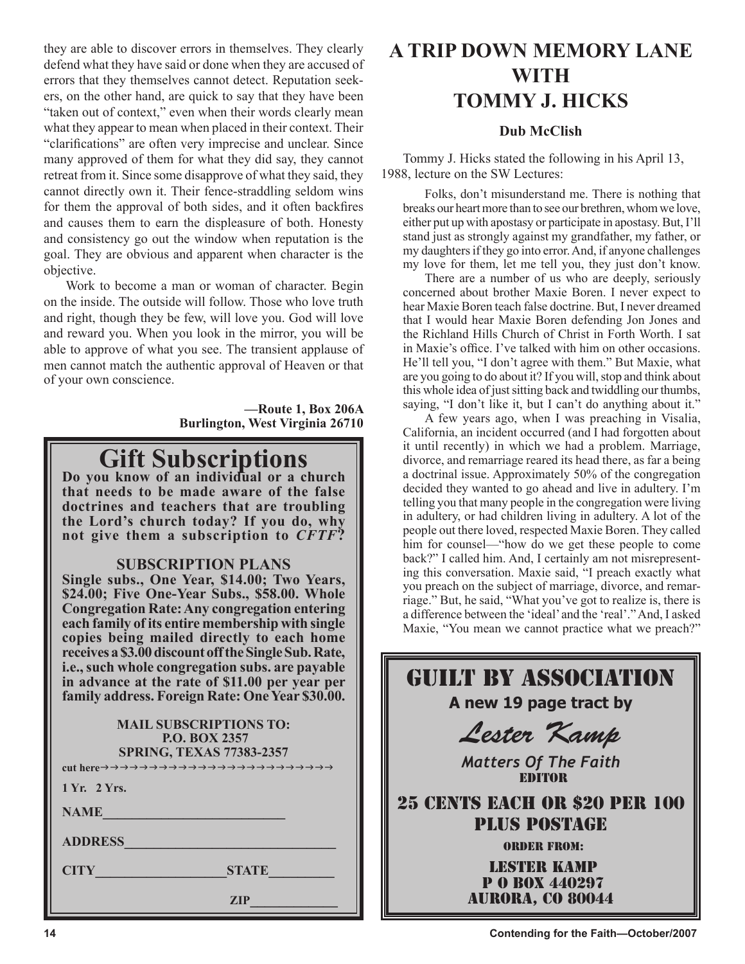they are able to discover errors in themselves. They clearly defend what they have said or done when they are accused of errors that they themselves cannot detect. Reputation seekers, on the other hand, are quick to say that they have been "taken out of context," even when their words clearly mean what they appear to mean when placed in their context. Their "clarifications" are often very imprecise and unclear. Since many approved of them for what they did say, they cannot retreat from it. Since some disapprove of what they said, they cannot directly own it. Their fence-straddling seldom wins for them the approval of both sides, and it often backfires and causes them to earn the displeasure of both. Honesty and consistency go out the window when reputation is the goal. They are obvious and apparent when character is the objective.

Work to become a man or woman of character. Begin on the inside. The outside will follow. Those who love truth and right, though they be few, will love you. God will love and reward you. When you look in the mirror, you will be able to approve of what you see. The transient applause of men cannot match the authentic approval of Heaven or that of your own conscience.

> **—Route 1, Box 206A Burlington, West Virginia 26710**

### **Gift Subscriptions Do you know of an individual or a church**

**that needs to be made aware of the false doctrines and teachers that are troubling the Lord's church today? If you do, why not give them a subscription to** *CFTF***?**

### **SUBSCRIPTION PLANS**

**Single subs., One Year, \$14.00; Two Years, \$24.00; Five One-Year Subs., \$58.00. Whole Congregation Rate: Any congregation entering each family of its entire membership with single copies being mailed directly to each home receives a \$3.00 discount off the Single Sub. Rate, i.e., such whole congregation subs. are payable in advance at the rate of \$11.00 per year per family address. Foreign Rate: One Year \$30.00.**

| family address. Foreign Rate: One Year \$30.00.                                          |  |  |  |  |
|------------------------------------------------------------------------------------------|--|--|--|--|
| <b>MAIL SUBSCRIPTIONS TO:</b><br><b>P.O. BOX 2357</b><br><b>SPRING, TEXAS 77383-2357</b> |  |  |  |  |
|                                                                                          |  |  |  |  |
| 1 Yr. 2 Yrs.                                                                             |  |  |  |  |
| <b>NAME</b>                                                                              |  |  |  |  |
| <b>ADDRESS</b>                                                                           |  |  |  |  |
| <b>CITY</b><br><b>STATE</b>                                                              |  |  |  |  |
| ZIP                                                                                      |  |  |  |  |

### **A TRIP DOWN MEMORY LANE WITH TOMMY J. HICKS**

### **Dub McClish**

Tommy J. Hicks stated the following in his April 13, 1988, lecture on the SW Lectures:

Folks, don't misunderstand me. There is nothing that breaks our heart more than to see our brethren, whom we love, either put up with apostasy or participate in apostasy. But, I'll stand just as strongly against my grandfather, my father, or my daughters if they go into error. And, if anyone challenges my love for them, let me tell you, they just don't know.

 There are a number of us who are deeply, seriously concerned about brother Maxie Boren. I never expect to hear Maxie Boren teach false doctrine. But, I never dreamed that I would hear Maxie Boren defending Jon Jones and the Richland Hills Church of Christ in Forth Worth. I sat in Maxie's office. I've talked with him on other occasions. He'll tell you, "I don't agree with them." But Maxie, what are you going to do about it? If you will, stop and think about this whole idea of just sitting back and twiddling our thumbs, saying, "I don't like it, but I can't do anything about it."

 A few years ago, when I was preaching in Visalia, California, an incident occurred (and I had forgotten about it until recently) in which we had a problem. Marriage, divorce, and remarriage reared its head there, as far a being a doctrinal issue. Approximately 50% of the congregation decided they wanted to go ahead and live in adultery. I'm telling you that many people in the congregation were living in adultery, or had children living in adultery. A lot of the people out there loved, respected Maxie Boren. They called him for counsel—"how do we get these people to come back?" I called him. And, I certainly am not misrepresenting this conversation. Maxie said, "I preach exactly what you preach on the subject of marriage, divorce, and remarriage." But, he said, "What you've got to realize is, there is a difference between the 'ideal' and the 'real'." And, I asked Maxie, "You mean we cannot practice what we preach?"

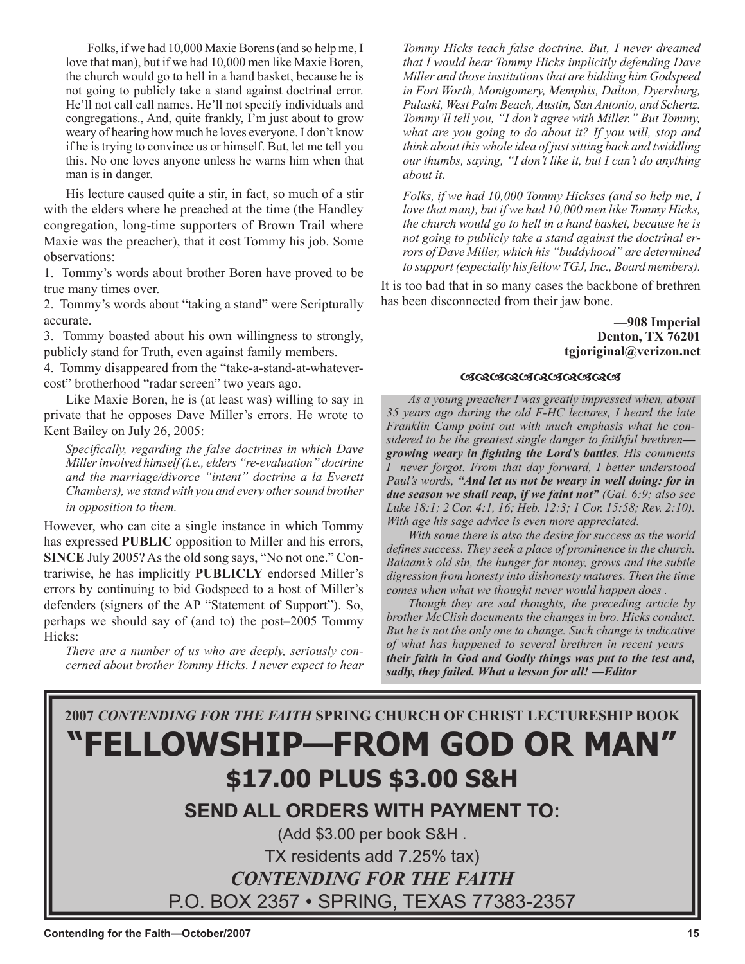Folks, if we had 10,000 Maxie Borens (and so help me, I love that man), but if we had 10,000 men like Maxie Boren, the church would go to hell in a hand basket, because he is not going to publicly take a stand against doctrinal error. He'll not call call names. He'll not specify individuals and congregations., And, quite frankly, I'm just about to grow weary of hearing how much he loves everyone. I don't know if he is trying to convince us or himself. But, let me tell you this. No one loves anyone unless he warns him when that man is in danger.

His lecture caused quite a stir, in fact, so much of a stir with the elders where he preached at the time (the Handley congregation, long-time supporters of Brown Trail where Maxie was the preacher), that it cost Tommy his job. Some observations:

1. Tommy's words about brother Boren have proved to be true many times over.

2. Tommy's words about "taking a stand" were Scripturally accurate.

3. Tommy boasted about his own willingness to strongly, publicly stand for Truth, even against family members.

4. Tommy disappeared from the "take-a-stand-at-whatevercost" brotherhood "radar screen" two years ago.

Like Maxie Boren, he is (at least was) willing to say in private that he opposes Dave Miller's errors. He wrote to Kent Bailey on July 26, 2005:

*Specifically, regarding the false doctrines in which Dave Miller involved himself (i.e., elders "re-evaluation" doctrine and the marriage/divorce "intent" doctrine a la Everett Chambers), we stand with you and every other sound brother in opposition to them.* 

However, who can cite a single instance in which Tommy has expressed **PUBLIC** opposition to Miller and his errors, **SINCE** July 2005? As the old song says, "No not one." Contrariwise, he has implicitly **PUBLICLY** endorsed Miller's errors by continuing to bid Godspeed to a host of Miller's defenders (signers of the AP "Statement of Support"). So, perhaps we should say of (and to) the post–2005 Tommy Hicks:

*There are a number of us who are deeply, seriously concerned about brother Tommy Hicks. I never expect to hear*  *Tommy Hicks teach false doctrine. But, I never dreamed that I would hear Tommy Hicks implicitly defending Dave Miller and those institutions that are bidding him Godspeed in Fort Worth, Montgomery, Memphis, Dalton, Dyersburg, Pulaski, West Palm Beach, Austin, San Antonio, and Schertz. Tommy'll tell you, "I don't agree with Miller." But Tommy, what are you going to do about it? If you will, stop and think about this whole idea of just sitting back and twiddling our thumbs, saying, "I don't like it, but I can't do anything about it.*

*Folks, if we had 10,000 Tommy Hickses (and so help me, I love that man), but if we had 10,000 men like Tommy Hicks, the church would go to hell in a hand basket, because he is not going to publicly take a stand against the doctrinal errors of Dave Miller, which his "buddyhood" are determined to support (especially his fellow TGJ, Inc., Board members).*

It is too bad that in so many cases the backbone of brethren has been disconnected from their jaw bone.

> **—908 Imperial Denton, TX 76201 tgjoriginal@verizon.net**

#### **GRAGAGAGAGAGAG**

*As a young preacher I was greatly impressed when, about 35 years ago during the old F-HC lectures, I heard the late Franklin Camp point out with much emphasis what he considered to be the greatest single danger to faithful brethren growing weary in fighting the Lord's battles. His comments I never forgot. From that day forward, I better understood Paul's words, "And let us not be weary in well doing: for in due season we shall reap, if we faint not" (Gal. 6:9; also see Luke 18:1; 2 Cor. 4:1, 16; Heb. 12:3; 1 Cor. 15:58; Rev. 2:10). With age his sage advice is even more appreciated.*

*With some there is also the desire for success as the world defines success. They seek a place of prominence in the church. Balaam's old sin, the hunger for money, grows and the subtle digression from honesty into dishonesty matures. Then the time comes when what we thought never would happen does .*

*Though they are sad thoughts, the preceding article by brother McClish documents the changes in bro. Hicks conduct. But he is not the only one to change. Such change is indicative of what has happened to several brethren in recent years their faith in God and Godly things was put to the test and, sadly, they failed. What a lesson for all! —Editor* 

### **2007** *CONTENDING FOR THE FAITH* **SPRING CHURCH OF CHRIST LECTURESHIP BOOK "FELLOWSHIP—FROM GOD OR MAN" \$17.00 PLUS \$3.00 S&H**

**SEND ALL ORDERS WITH PAYMENT TO:**

(Add \$3.00 per book S&H .

TX residents add 7.25% tax) *CONTENDING FOR THE FAITH*

P.O. BOX 2357 • SPRING, TEXAS 77383-2357